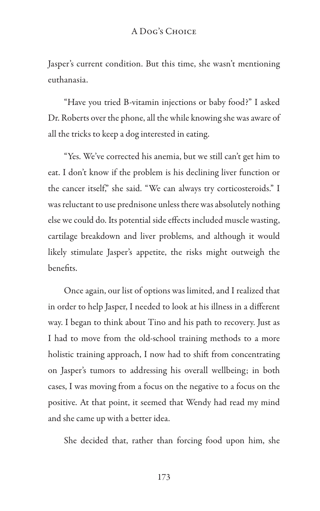## A Dog's Choice

Jasper's current condition. But this time, she wasn't mentioning euthanasia.

"Have you tried B-vitamin injections or baby food?" I asked Dr. Roberts over the phone, all the while knowing she was aware of all the tricks to keep a dog interested in eating.

"Yes. We've corrected his anemia, but we still can't get him to eat. I don't know if the problem is his declining liver function or the cancer itself," she said. "We can always try corticosteroids." I was reluctant to use prednisone unless there was absolutely nothing else we could do. Its potential side effects included muscle wasting, cartilage breakdown and liver problems, and although it would likely stimulate Jasper's appetite, the risks might outweigh the benefits.

Once again, our list of options was limited, and I realized that in order to help Jasper, I needed to look at his illness in a different way. I began to think about Tino and his path to recovery. Just as I had to move from the old-school training methods to a more holistic training approach, I now had to shift from concentrating on Jasper's tumors to addressing his overall wellbeing; in both cases, I was moving from a focus on the negative to a focus on the positive. At that point, it seemed that Wendy had read my mind and she came up with a better idea.

She decided that, rather than forcing food upon him, she

173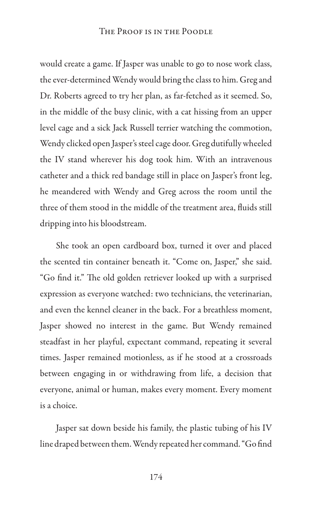would create a game. If Jasper was unable to go to nose work class, the ever-determined Wendy would bring the class to him. Greg and Dr. Roberts agreed to try her plan, as far-fetched as it seemed. So, in the middle of the busy clinic, with a cat hissing from an upper level cage and a sick Jack Russell terrier watching the commotion, Wendy clicked open Jasper's steel cage door. Greg dutifully wheeled the IV stand wherever his dog took him. With an intravenous catheter and a thick red bandage still in place on Jasper's front leg, he meandered with Wendy and Greg across the room until the three of them stood in the middle of the treatment area, fluids still dripping into his bloodstream.

She took an open cardboard box, turned it over and placed the scented tin container beneath it. "Come on, Jasper," she said. "Go find it." The old golden retriever looked up with a surprised expression as everyone watched: two technicians, the veterinarian, and even the kennel cleaner in the back. For a breathless moment, Jasper showed no interest in the game. But Wendy remained steadfast in her playful, expectant command, repeating it several times. Jasper remained motionless, as if he stood at a crossroads between engaging in or withdrawing from life, a decision that everyone, animal or human, makes every moment. Every moment is a choice.

Jasper sat down beside his family, the plastic tubing of his IV line draped between them. Wendy repeated her command. "Go find